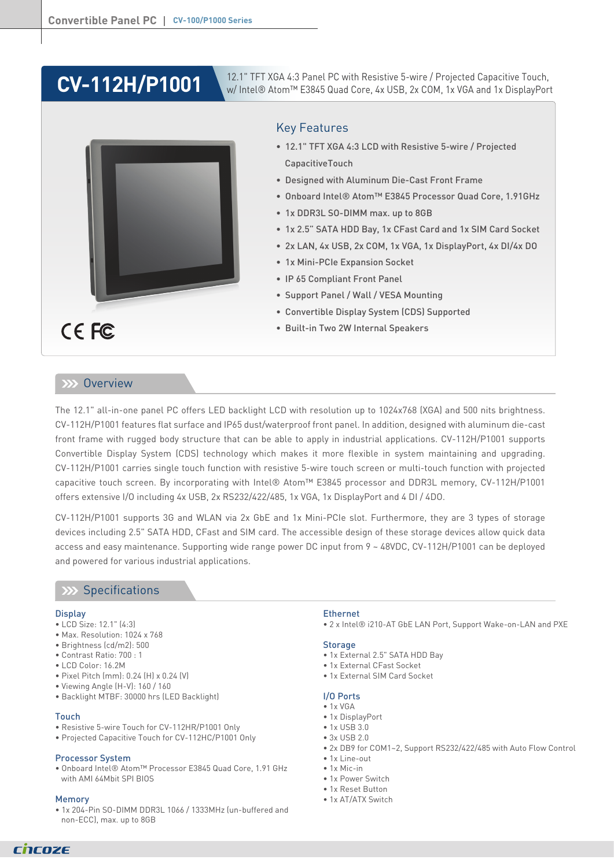# **CV-112H/P1001**

CE FC

12.1" TFT XGA 4:3 Panel PC with Resistive 5-wire / Projected Capacitive Touch, w/ Intel® Atom™ E3845 Quad Core, 4x USB, 2x COM, 1x VGA and 1x DisplayPort

### Key Features

- 12.1" TFT XGA 4:3 LCD with Resistive 5-wire / Projected CapacitiveTouch
- Designed with Aluminum Die-Cast Front Frame
- Onboard Intel® Atom™ E3845 Processor Quad Core, 1.91GHz
- 1x DDR3L SO-DIMM max. up to 8GB
- 1x 2.5" SATA HDD Bay, 1x CFast Card and 1x SIM Card Socket
- 2x LAN, 4x USB, 2x COM, 1x VGA, 1x DisplayPort, 4x DI/4x DO
- 1x Mini-PCIe Expansion Socket
- IP 65 Compliant Front Panel
- Support Panel / Wall / VESA Mounting
- Convertible Display System (CDS) Supported
- Built-in Two 2W Internal Speakers

### **XXX** Overview

The 12.1" all-in-one panel PC offers LED backlight LCD with resolution up to 1024x768 (XGA) and 500 nits brightness. CV-112H/P1001 features flat surface and IP65 dust/waterproof front panel. In addition, designed with aluminum die-cast front frame with rugged body structure that can be able to apply in industrial applications. CV-112H/P1001 supports Convertible Display System (CDS) technology which makes it more flexible in system maintaining and upgrading. CV-112H/P1001 carries single touch function with resistive 5-wire touch screen or multi-touch function with projected capacitive touch screen. By incorporating with Intel® Atom™ E3845 processor and DDR3L memory, CV-112H/P1001 offers extensive I/O including 4x USB, 2x RS232/422/485, 1x VGA, 1x DisplayPort and 4 DI / 4DO.

CV-112H/P1001 supports 3G and WLAN via 2x GbE and 1x Mini-PCIe slot. Furthermore, they are 3 types of storage devices including 2.5" SATA HDD, CFast and SIM card. The accessible design of these storage devices allow quick data access and easy maintenance. Supporting wide range power DC input from 9 ~ 48VDC, CV-112H/P1001 can be deployed and powered for various industrial applications.

### **XX** Specifications

#### **Display**

- LCD Size: 12.1" (4:3)
- Max. Resolution: 1024 x 768
- Brightness (cd/m2): 500
- Contrast Ratio: 700 : 1
- LCD Color: 16.2M
- Pixel Pitch (mm): 0.24 (H) x 0.24 (V)
- Viewing Angle (H-V): 160 / 160
- Backlight MTBF: 30000 hrs (LED Backlight)

#### Touch

- Resistive 5-wire Touch for CV-112HR/P1001 Only
- Projected Capacitive Touch for CV-112HC/P1001 Only

#### Processor System

• Onboard Intel® Atom™ Processor E3845 Quad Core, 1.91 GHz with AMI 64Mbit SPI BIOS

#### Memory

• 1x 204-Pin SO-DIMM DDR3L 1066 / 1333MHz (un-buffered and non-ECC), max. up to 8GB

#### Ethernet

• 2 x Intel® i210-AT GbE LAN Port, Support Wake-on-LAN and PXE

#### **Storage**

- 1x External 2.5" SATA HDD Bay
- 1x External CFast Socket
- 1x External SIM Card Socket

### I/O Ports

- $\bullet$  1 x VGA
- 1x DisplayPort
- 1x USB 3.0
- 3x USB 2.0
- 2x DB9 for COM1~2, Support RS232/422/485 with Auto Flow Control
- 1x Line-out
- 1x Mic-in
- 1x Power Switch • 1x Reset Button
- 1x AT/ATX Switch
- 

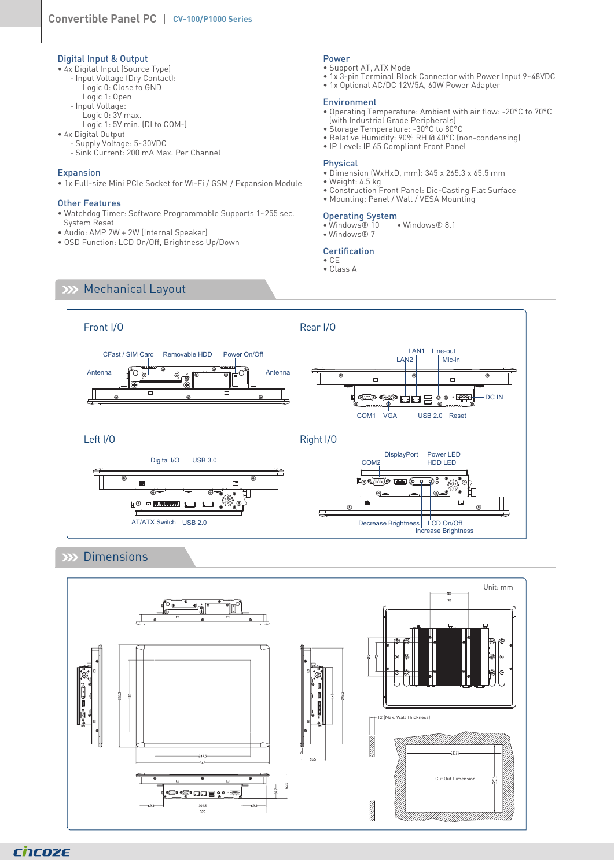### Digital Input & Output

- 4x Digital Input (Source Type)
	- Input Voltage (Dry Contact):
- Logic 0: Close to GND
- Logic 1: Open - Input Voltage:
	- Logic 0: 3V max.
	- Logic 1: 5V min. (DI to COM-)
- 4x Digital Output
	- Supply Voltage: 5~30VDC
	- Sink Current: 200 mA Max. Per Channel

### Expansion

• 1x Full-size Mini PCIe Socket for Wi-Fi / GSM / Expansion Module

#### Other Features

- Watchdog Timer: Software Programmable Supports 1~255 sec. System Reset
- Audio: AMP 2W + 2W (Internal Speaker)
- OSD Function: LCD On/Off, Brightness Up/Down

### Power

- Support AT, ATX Mode
- 1x 3-pin Terminal Block Connector with Power Input 9~48VDC
- 1x Optional AC/DC 12V/5A, 60W Power Adapter

#### Environment

- Operating Temperature: Ambient with air flow: -20°C to 70°C (with Industrial Grade Peripherals)
- Storage Temperature: -30°C to 80°C
- Relative Humidity: 90% RH @ 40°C (non-condensing)
- IP Level: IP 65 Compliant Front Panel

### Physical

- Dimension (WxHxD, mm): 345 x 265.3 x 65.5 mm
- Weight: 4.5 kg
- Construction Front Panel: Die-Casting Flat Surface
- Mounting: Panel / Wall / VESA Mounting

Operating System<br>• Windows® 10 • Windows® 8.1 • Windows® 10 • Windows® 8.1 • Windows® 7

### **Certification**

- CE
- Class A

### **XX Mechanical Layout**



### **XX** Dimensions